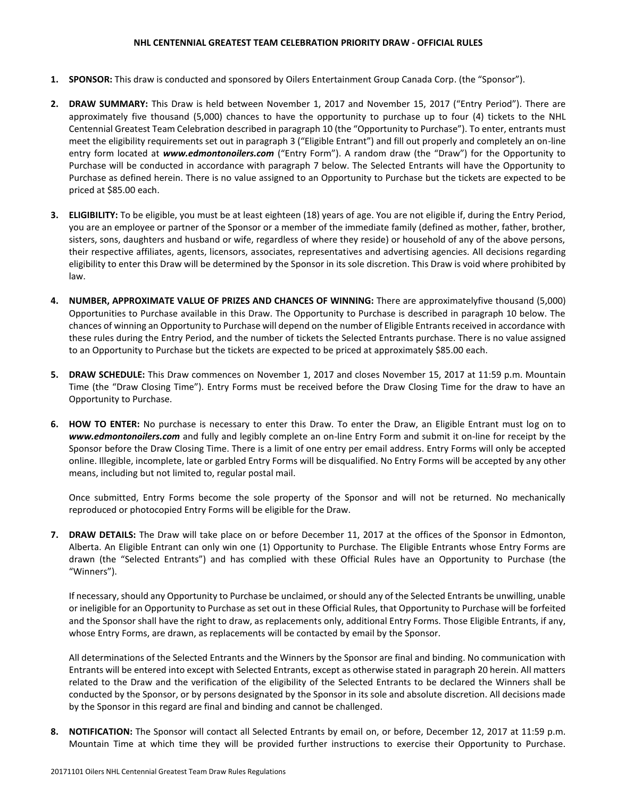## **NHL CENTENNIAL GREATEST TEAM CELEBRATION PRIORITY DRAW - OFFICIAL RULES**

- **1. SPONSOR:** This draw is conducted and sponsored by Oilers Entertainment Group Canada Corp. (the "Sponsor").
- **2. DRAW SUMMARY:** This Draw is held between November 1, 2017 and November 15, 2017 ("Entry Period"). There are approximately five thousand (5,000) chances to have the opportunity to purchase up to four (4) tickets to the NHL Centennial Greatest Team Celebration described in paragraph 10 (the "Opportunity to Purchase"). To enter, entrants must meet the eligibility requirements set out in paragraph 3 ("Eligible Entrant") and fill out properly and completely an on-line entry form located at *[www.edmontonoilers.com](http://www.edmontonoilers.com/)* ("Entry Form"). A random draw (the "Draw") for the Opportunity to Purchase will be conducted in accordance with paragraph 7 below. The Selected Entrants will have the Opportunity to Purchase as defined herein. There is no value assigned to an Opportunity to Purchase but the tickets are expected to be priced at \$85.00 each.
- **3. ELIGIBILITY:** To be eligible, you must be at least eighteen (18) years of age. You are not eligible if, during the Entry Period, you are an employee or partner of the Sponsor or a member of the immediate family (defined as mother, father, brother, sisters, sons, daughters and husband or wife, regardless of where they reside) or household of any of the above persons, their respective affiliates, agents, licensors, associates, representatives and advertising agencies. All decisions regarding eligibility to enter this Draw will be determined by the Sponsor in its sole discretion. This Draw is void where prohibited by law.
- **4. NUMBER, APPROXIMATE VALUE OF PRIZES AND CHANCES OF WINNING:** There are approximatelyfive thousand (5,000) Opportunities to Purchase available in this Draw. The Opportunity to Purchase is described in paragraph 10 below. The chances of winning an Opportunity to Purchase will depend on the number of Eligible Entrants received in accordance with these rules during the Entry Period, and the number of tickets the Selected Entrants purchase. There is no value assigned to an Opportunity to Purchase but the tickets are expected to be priced at approximately \$85.00 each.
- **5. DRAW SCHEDULE:** This Draw commences on November 1, 2017 and closes November 15, 2017 at 11:59 p.m. Mountain Time (the "Draw Closing Time"). Entry Forms must be received before the Draw Closing Time for the draw to have an Opportunity to Purchase.
- **6. HOW TO ENTER:** No purchase is necessary to enter this Draw. To enter the Draw, an Eligible Entrant must log on to *[www.edmontonoilers.com](http://www.edmontonoilers.com/)* and fully and legibly complete an on-line Entry Form and submit it on-line for receipt by the Sponsor before the Draw Closing Time. There is a limit of one entry per email address. Entry Forms will only be accepted online. Illegible, incomplete, late or garbled Entry Forms will be disqualified. No Entry Forms will be accepted by any other means, including but not limited to, regular postal mail.

Once submitted, Entry Forms become the sole property of the Sponsor and will not be returned. No mechanically reproduced or photocopied Entry Forms will be eligible for the Draw.

**7. DRAW DETAILS:** The Draw will take place on or before December 11, 2017 at the offices of the Sponsor in Edmonton, Alberta. An Eligible Entrant can only win one (1) Opportunity to Purchase. The Eligible Entrants whose Entry Forms are drawn (the "Selected Entrants") and has complied with these Official Rules have an Opportunity to Purchase (the "Winners").

If necessary, should any Opportunity to Purchase be unclaimed, or should any of the Selected Entrants be unwilling, unable or ineligible for an Opportunity to Purchase as set out in these Official Rules, that Opportunity to Purchase will be forfeited and the Sponsor shall have the right to draw, as replacements only, additional Entry Forms. Those Eligible Entrants, if any, whose Entry Forms, are drawn, as replacements will be contacted by email by the Sponsor.

All determinations of the Selected Entrants and the Winners by the Sponsor are final and binding. No communication with Entrants will be entered into except with Selected Entrants, except as otherwise stated in paragraph 20 herein. All matters related to the Draw and the verification of the eligibility of the Selected Entrants to be declared the Winners shall be conducted by the Sponsor, or by persons designated by the Sponsor in its sole and absolute discretion. All decisions made by the Sponsor in this regard are final and binding and cannot be challenged.

**8. NOTIFICATION:** The Sponsor will contact all Selected Entrants by email on, or before, December 12, 2017 at 11:59 p.m. Mountain Time at which time they will be provided further instructions to exercise their Opportunity to Purchase.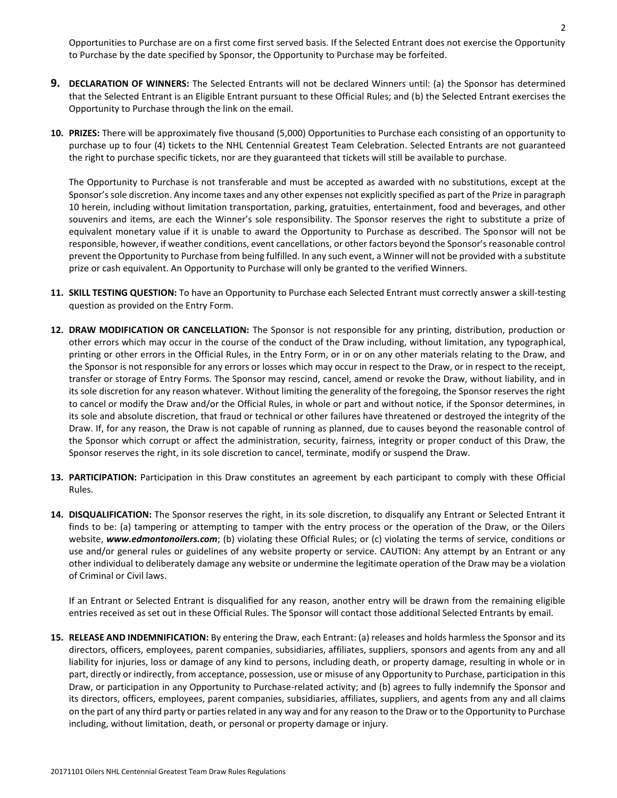Opportunities to Purchase are on a first come first served basis. If the Selected Entrant does not exercise the Opportunity to Purchase by the date specified by Sponsor, the Opportunity to Purchase may be forfeited.

- **9. DECLARATION OF WINNERS:** The Selected Entrants will not be declared Winners until: (a) the Sponsor has determined that the Selected Entrant is an Eligible Entrant pursuant to these Official Rules; and (b) the Selected Entrant exercises the Opportunity to Purchase through the link on the email.
- **10. PRIZES:** There will be approximately five thousand (5,000) Opportunities to Purchase each consisting of an opportunity to purchase up to four (4) tickets to the NHL Centennial Greatest Team Celebration. Selected Entrants are not guaranteed the right to purchase specific tickets, nor are they guaranteed that tickets will still be available to purchase.

The Opportunity to Purchase is not transferable and must be accepted as awarded with no substitutions, except at the Sponsor's sole discretion. Any income taxes and any other expenses not explicitly specified as part of the Prize in paragraph 10 herein, including without limitation transportation, parking, gratuities, entertainment, food and beverages, and other souvenirs and items, are each the Winner's sole responsibility. The Sponsor reserves the right to substitute a prize of equivalent monetary value if it is unable to award the Opportunity to Purchase as described. The Sponsor will not be responsible, however, if weather conditions, event cancellations, or other factors beyond the Sponsor's reasonable control prevent the Opportunity to Purchase from being fulfilled. In any such event, a Winner will not be provided with a substitute prize or cash equivalent. An Opportunity to Purchase will only be granted to the verified Winners.

- **11. SKILL TESTING QUESTION:** To have an Opportunity to Purchase each Selected Entrant must correctly answer a skill-testing question as provided on the Entry Form.
- **12. DRAW MODIFICATION OR CANCELLATION:** The Sponsor is not responsible for any printing, distribution, production or other errors which may occur in the course of the conduct of the Draw including, without limitation, any typographical, printing or other errors in the Official Rules, in the Entry Form, or in or on any other materials relating to the Draw, and the Sponsor is not responsible for any errors or losses which may occur in respect to the Draw, or in respect to the receipt, transfer or storage of Entry Forms. The Sponsor may rescind, cancel, amend or revoke the Draw, without liability, and in its sole discretion for any reason whatever. Without limiting the generality of the foregoing, the Sponsor reserves the right to cancel or modify the Draw and/or the Official Rules, in whole or part and without notice, if the Sponsor determines, in its sole and absolute discretion, that fraud or technical or other failures have threatened or destroyed the integrity of the Draw. If, for any reason, the Draw is not capable of running as planned, due to causes beyond the reasonable control of the Sponsor which corrupt or affect the administration, security, fairness, integrity or proper conduct of this Draw, the Sponsor reserves the right, in its sole discretion to cancel, terminate, modify or suspend the Draw.
- **13. PARTICIPATION:** Participation in this Draw constitutes an agreement by each participant to comply with these Official Rules.
- **14. DISQUALIFICATION:** The Sponsor reserves the right, in its sole discretion, to disqualify any Entrant or Selected Entrant it finds to be: (a) tampering or attempting to tamper with the entry process or the operation of the Draw, or the Oilers website, *www.edmontonoilers.com*; (b) violating these Official Rules; or (c) violating the terms of service, conditions or use and/or general rules or guidelines of any website property or service. CAUTION: Any attempt by an Entrant or any other individual to deliberately damage any website or undermine the legitimate operation of the Draw may be a violation of Criminal or Civil laws.

If an Entrant or Selected Entrant is disqualified for any reason, another entry will be drawn from the remaining eligible entries received as set out in these Official Rules. The Sponsor will contact those additional Selected Entrants by email.

**15. RELEASE AND INDEMNIFICATION:** By entering the Draw, each Entrant: (a) releases and holds harmless the Sponsor and its directors, officers, employees, parent companies, subsidiaries, affiliates, suppliers, sponsors and agents from any and all liability for injuries, loss or damage of any kind to persons, including death, or property damage, resulting in whole or in part, directly or indirectly, from acceptance, possession, use or misuse of any Opportunity to Purchase, participation in this Draw, or participation in any Opportunity to Purchase-related activity; and (b) agrees to fully indemnify the Sponsor and its directors, officers, employees, parent companies, subsidiaries, affiliates, suppliers, and agents from any and all claims on the part of any third party or parties related in any way and for any reason to the Draw or to the Opportunity to Purchase including, without limitation, death, or personal or property damage or injury.